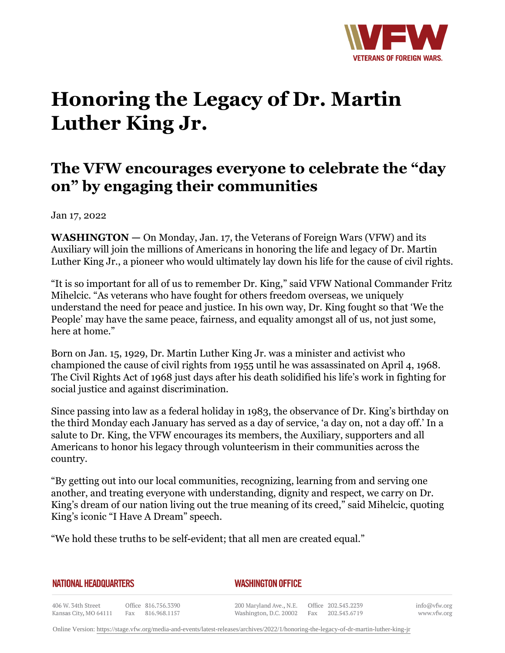

## **Honoring the Legacy of Dr. Martin Luther King Jr.**

## **The VFW encourages everyone to celebrate the "day on" by engaging their communities**

Jan 17, 2022

**WASHINGTON —** On Monday, Jan. 17, the Veterans of Foreign Wars (VFW) and its Auxiliary will join the millions of Americans in honoring the life and legacy of Dr. Martin Luther King Jr., a pioneer who would ultimately lay down his life for the cause of civil rights.

"It is so important for all of us to remember Dr. King," said VFW National Commander Fritz Mihelcic. "As veterans who have fought for others freedom overseas, we uniquely understand the need for peace and justice. In his own way, Dr. King fought so that 'We the People' may have the same peace, fairness, and equality amongst all of us, not just some, here at home."

Born on Jan. 15, 1929, Dr. Martin Luther King Jr. was a minister and activist who championed the cause of civil rights from 1955 until he was assassinated on April 4, 1968. The Civil Rights Act of 1968 just days after his death solidified his life's work in fighting for social justice and against discrimination.

Since passing into law as a federal holiday in 1983, the observance of Dr. King's birthday on the third Monday each January has served as a day of service, 'a day on, not a day off.' In a salute to Dr. King, the VFW encourages its members, the Auxiliary, supporters and all Americans to honor his legacy through volunteerism in their communities across the country.

"By getting out into our local communities, recognizing, learning from and serving one another, and treating everyone with understanding, dignity and respect, we carry on Dr. King's dream of our nation living out the true meaning of its creed," said Mihelcic, quoting King's iconic "I Have A Dream" speech.

"We hold these truths to be self-evident; that all men are created equal."

*WASHINGTON OFFICE* 

406 W. 34th Street Office 816.756.3390 Fax 816.968.1157 Kansas City, MO 64111

200 Maryland Ave., N.E. Washington, D.C. 20002

Office 202.543.2239 Fax 202.543.6719 info@vfw.org www.vfw.org

Online Version:<https://stage.vfw.org/media-and-events/latest-releases/archives/2022/1/honoring-the-legacy-of-dr-martin-luther-king-jr>